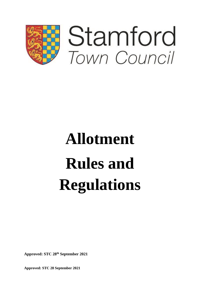

# **Allotment Rules and Regulations**

**Approved: STC 28 th September 2021**

**Approved: STC 28 September 2021**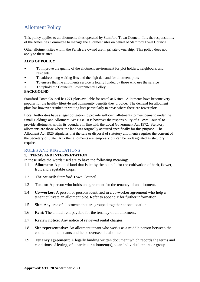# Allotment Policy

This policy applies to all allotments sites operated by Stamford Town Council. It is the responsibility of the Amenities Committee to manage the allotment sites on behalf of Stamford Town Council

Other allotment sites within the Parish are owned are in private ownership. This policy does not apply to these sites.

# **AIMS OF POLICY**

- To improve the quality of the allotment environment for plot holders, neighbours, and residents
- To address long waiting lists and the high demand for allotment plots
- To ensure that the allotments service is totally funded by those who use the service
- To uphold the Council's Environmental Policy

# **BACKGOUND**

Stamford Town Council has 271 plots available for rental at 6 sites. Allotments have become very popular for the healthy lifestyle and community benefits they provide. The demand for allotment plots has however resulted in waiting lists particularly in areas where there are fewer plots.

Local Authorities have a legal obligation to provide sufficient allotments to meet demand under the Small Holdings and Allotment Act 1908. It is however the responsibility of a Town Council to provide allotments within its boundary in line with the Local Government Act 1972. Statutory allotments are those where the land was originally acquired specifically for this purpose. The Allotment Act 1925 stipulates that the sale or disposal of statutory allotments requires the consent of the Secretary of State. All other allotments are temporary but can be re-designated as statutory if required.

# RULES AND REGULATIONS

# **1. TERMS AND INTERPRETATION**

In these rules the words used are to have the following meaning:

- 1.1 **Allotment:** A plot of land that is let by the council for the cultivation of herb, flower, fruit and vegetable crops.
- 1.2 **The council:** Stamford Town Council.
- 1.3 **Tenant:** A person who holds an agreement for the tenancy of an allotment.
- 1.4 **Co-worker:** A person or persons identified in a co-worker agreement who help a tenant cultivate an allotment plot. Refer to appendix for further information.
- 1.5 **Site:** Any area of allotments that are grouped together at one location
- 1.6 **Rent:** The annual rent payable for the tenancy of an allotment.
- 1.7 **Review notice:** Any notice of reviewed rental charges.
- 1.8 **Site representative:** An allotment tenant who works as a middle person between the council and the tenants and helps oversee the allotment.
- 1.9 **Tenancy agreement:** A legally binding written document which records the terms and conditions of letting, of a particular allotment(s), to an individual tenant or group.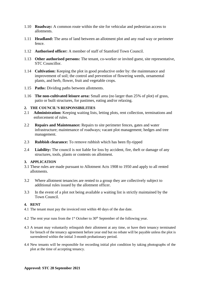- 1.10 **Roadway:** A common route within the site for vehicular and pedestrian access to allotments.
- 1.11 **Headland:** The area of land between an allotment plot and any road way or perimeter fence.
- 1.12 **Authorised officer:** A member of staff of Stamford Town Council.
- 1.13 **Other authorised persons:** The tenant, co-worker or invited guest, site representative, STC Councillor.
- 1.14 **Cultivation:** Keeping the plot in good productive order by: the maintenance and improvement of soil; the control and prevention of flowering weeds, ornamental plants, and herb, flower, fruit and vegetable crops.
- 1.15 **Paths:** Dividing paths between allotments.
- 1.16 **The non-cultivated leisure area:** Small area (no larger than 25% of plot) of grass, patio or built structures, for pastimes, eating and/or relaxing.

# **2. THE COUNCIL'S RESPONSIBILITIES**

- 2.1 **Administration:** Keeping waiting lists, letting plots, rent collection, terminations and enforcement of rules.
- 2.2 **Repairs and Maintenance:** Repairs to site perimeter fences, gates and water infrastructure; maintenance of roadways; vacant plot management; hedges and tree management.
- 2.3 **Rubbish clearance:** To remove rubbish which has been fly-tipped
- 2.4 **Liability:** The council is not liable for loss by accident, fire, theft or damage of any structures, tools, plants or contents on allotment.

# **3. APPLICATION**

- 3.1 These rules are made pursuant to Allotment Acts 1908 to 1950 and apply to all rented allotments.
- 3.2 Where allotment tenancies are rented to a group they are collectively subject to additional rules issued by the allotment officer.
- 3.3 In the event of a plot not being available a waiting list is strictly maintained by the Town Council.

#### **4. RENT**

- 4.1 The tenant must pay the invoiced rent within 40 days of the due date.
- 4.2 The rent year runs from the  $1<sup>st</sup>$  October to 30<sup>th</sup> September of the following year.
- 4.3 A tenant may voluntarily relinquish their allotment at any time, or have their tenancy terminated for breach of the tenancy agreement before year end but no rebate will be payable unless the plot is surrendered within the initial 3-month probationary period.
- 4.4 New tenants will be responsible for recording initial plot condition by taking photographs of the plot at the time of accepting tenancy.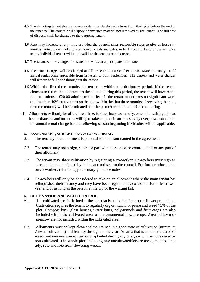- 4.5 The departing tenant shall remove any items or derelict structures from their plot before the end of the tenancy. The council will dispose of any such material not removed by the tenant. The full cost of disposal shall be charged to the outgoing tenant.
- 4.6 Rent may increase at any time provided the council takes reasonable steps to give at least sixmonths' notice by way of signs on notice boards and gates, or by letters etc. Failure to give notice to any individual tenant will not invalidate the tenants rent increase.
- 4.7 The tenant will be charged for water and waste at a per square metre rate.
- 4.8 The rental charges will be charged at full price from 1st October to 31st March annually. Half annual rental price applicable from 1st April to 30th September. The deposit and water charges will remain at full price throughout the season.
- 4.9 Within the first three months the tenant is within a probationary period. If the tenant chooses to return the allotment to the council during this period, the tenant will have rental returned minus a £20.00 administration fee. If the tenant undertakes no significant work (no less than 40% cultivation) on the plot within the first three months of receiving the plot, then the tenancy will be terminated and the plot returned to council for re-letting.
- 4.10 Allotments will only be offered rent free, for the first season only, when the waiting list has been exhausted and no one is willing to take on plots in an excessively overgrown condition. The annual rental charge for the following season beginning in October will be applicable.

# **5. ASSIGNMENT, SUB-LETTING & CO-WORKING**

- 5.1 The tenancy of an allotment is personal to the tenant named in the agreement.
- 5.2 The tenant may not assign, sublet or part with possession or control of all or any part of their allotment.
- 5.3 The tenant may share cultivation by registering a co-worker. Co-workers must sign an agreement, countersigned by the tenant and sent to the council. For further information on co-workers refer to supplementary guidance notes.
- 5.4 Co-workers will only be considered to take on an allotment where the main tenant has relinquished their tenancy and they have been registered as co-worker for at least twoyear and/or as long as the person at the top of the waiting list.

# **6. CULTIVATION AND WEED CONTROL**

- 6.1 The cultivated area is defined as the area that is cultivated for crop or flower production. Cultivation requires the tenant to regularly dig or mulch, or prune and weed 75% of the plot. Compost bins, glass houses, water butts, poly-tunnels and fruit cages are also included within the cultivated area, as are ornamental flower crops. Areas of lawn or meadow are not included within the cultivated area.
- 6.2 Allotments must be kept clean and maintained in a good state of cultivation (minimum 75% in cultivation) and fertility throughout the year. An area that is annually cleared of weeds yet remains un-cropped or un-planted during any one year will be considered as non-cultivated. The whole plot, including any uncultivated/leisure areas, must be kept tidy, safe and free from flowering weeds.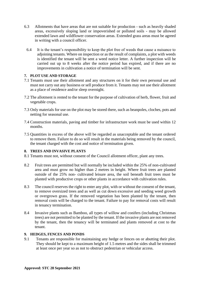- 6.3 Allotments that have areas that are not suitable for production such as heavily shaded areas, excessively sloping land or impoverished or polluted soils - may be allowed extended lawn and wildflower conservation areas. Extended grass areas must be agreed in writing with a council officer.
	- 6.4 It is the tenant's responsibility to keep the plot free of weeds that cause a nuisance to adjoining tenants. Where on inspection or as the result of complaints, a plot with weeds is identified the tenant will be sent a weed notice letter. A further inspection will be carried out up to 8 weeks after the notice period has expired, and if there are no improvements in cultivation a notice of termination will be sent.

# **7. PLOT USE AND STORAGE**

- 7.1 Tenants must use their allotment and any structures on it for their own personal use and must not carry out any business or sell produce from it. Tenants may not use their allotment as a place of residence and/or sleep overnight.
- 7.2 The allotment is rented to the tenant for the purpose of cultivation of herb, flower, fruit and vegetable crops.
- 7.3 Only materials for use on the plot may be stored there, such as beanpoles, cloches, pots and netting for seasonal use.
- 7.4 Construction materials, paving and timber for infrastructure work must be used within 12 months.
- 7.5 Quantities in excess of the above will be regarded as unacceptable and the tenant ordered to remove them. Failure to do so will result in the materials being removed by the council, the tenant charged with the cost and notice of termination given.

# **8. TREES AND INVASIVE PLANTS**

- 8.1 Tenants must not, without consent of the Council allotment officer, plant any trees.
- 8.2 Fruit trees are permitted but will normally be included within the 25% of non-cultivated area and must grow no higher than 2 metres in height. Where fruit trees are planted outside of the 25% non- cultivated leisure area, the soil beneath fruit trees must be planted with productive crops or other plants in accordance with cultivation rules.
- 8.3 The council reserves the right to enter any plot, with or without the consent of the tenant, to remove oversized trees and as well as cut down excessive and seeding weed growth or overgrown grass. If the removed vegetation has been planted by the tenant, then removal costs will be charged to the tenant. Failure to pay for removal costs will result in tenancy termination.
- 8.4 Invasive plants such as Bamboo, all types of willow and conifers (including Christmas trees) are not permitted to be planted by the tenant. If the invasive plants are not removed by the tenant, then the tenancy will be terminated and plants removed at cost to the tenant.

# **9. HEDGES, FENCES AND PONDS**

9.1 Tenants are responsible for maintaining any hedge or fences on or abutting their plot. They should be kept to a maximum height of 1.5 metres and the sides shall be trimmed at least once per year so as not to obstruct pedestrian or vehicular access.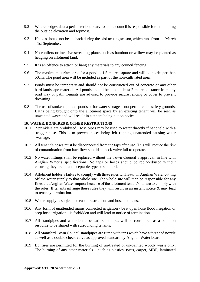- 9.2 Where hedges abut a perimeter boundary road the council is responsible for maintaining the outside elevation and topmost.
- 9.3 Hedgesshould not be cut back during the bird nesting season, which runs from 1st March - 1st September.
- 9.4 No conifers or invasive screening plants such as bamboo or willow may be planted as hedging on allotment land.
- 9.5 It is an offence to attach or hang any materials to any council fencing.
- 9.6 The maximum surface area for a pond is 1.5 metres square and will be no deeper than 50cm. The pond area will be included as part of the non-cultivated area.
- 9.7 Ponds must be temporary and should not be constructed out of concrete or any other hard landscape material. All ponds should be sited at least 2 metres distance from any road way or path. Tenants are advised to provide secure fencing or cover to prevent drowning.
- 9.8 The use of sunken baths as ponds or for water storage is not permitted on safety grounds. Baths being brought onto the allotment space by an existing tenant will be seen as unwanted waste and will result in a tenant being put on notice.

#### **10. WATER, BONFIRES & OTHER RESTRICTIONS**

- 10.1 Sprinklers are prohibited. Hose pipes may be used to water directly if handheld with a trigger hose. This is to prevent hoses being left running unattended causing water wastage.
- 10.2 All tenant's hoses must be disconnected from the taps after use. This will reduce the risk of contamination from backflow should a check valve fail to operate.
- 10.3 No water fittings shall be replaced without the Town Council's approval, in line with Anglian Water's specifications. No taps or hoses should be replaced/used without ensuring they are of an acceptable type or standard.
- 10.4 Allotment holder's failure to comply with these rules will result in Anglian Water cutting off the water supply to that whole site. The whole site will then be responsible for any fines that Anglian Water impose because of the allotment tenant's failure to comply with the rules. If tenants infringe these rules they will result in an instant notice  $\&$  may lead to tenancy termination.
- 10.5 Water supply is subject to season restrictions and hosepipe bans.
- 10.6 Any form of unattended mains connected irrigation be it open hose flood irrigation or seep hose irrigation - is forbidden and will lead to notice of termination.
- 10.7 All standpipes and water butts beneath standpipes will be considered as a common resource to be shared with surrounding tenants.
- 10.8 All Stamford Town Council standpipes are fitted with taps which have a threaded nozzle as well as a double check valve as approved standard by Anglian Water board.
- 10.9 Bonfires are permitted for the burning of un-treated or un-painted woody waste only. The burning of any other materials – such as plastics, tyres, carpet, MDF, laminated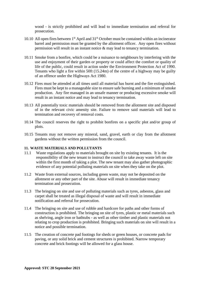wood - is strictly prohibited and will lead to immediate termination and referral for prosecution.

- 10.10 All open fires between 1st April and 31st October must be contained within an incinerator barrel and permission must be granted by the allotment officer. Any open fires without permission will result in an instant notice & may lead to tenancy termination.
- 10.11 Smoke from a bonfire, which could be a nuisance to neighbours by interfering with the use and enjoyment of their garden or property or could affect the comfort or quality of life of the public, could result in action under the Environment Protection Act of 1990. Tenants who light a fire within 50ft (15.24m) of the centre of a highway may be guilty of an offence under the Highways Act 1980.
- 10.12 Fires must be attended at all times until all material has burnt and the fire extinguished. Fires must be kept to a manageable size to ensure safe burning and a minimum of smoke production. Any fire managed in an unsafe manner or producing excessive smoke will result in an instant notice and may lead to tenancy termination.
- 10.13 All potentially toxic materials should be removed from the allotment site and disposed of in the relevant civic amenity site. Failure to remove said materials will lead to termination and recovery of removal costs.
- 10.14 The council reserves the right to prohibit bonfires on a specific plot and/or group of plots.
- 10.15 Tenants may not remove any mineral, sand, gravel, earth or clay from the allotment gardens without the written permission from the council.

# **11. WASTE MATERIALS AND POLLUTANTS**

- 11.1 Waste regulations apply to materials brought on site by existing tenants. It is the responsibility of the new tenant to instruct the council to take away waste left on site within the first month of taking a plot. The new tenant may also gather photographic evidence of any potential polluting materials on site when they take on the plot.
- 11.2 Waste from external sources, including green waste, may not be deposited on the allotment or any other part of the site. Abuse will result in immediate tenancy termination and prosecution.
- 11.3 The bringing on site and use of polluting materials such as tyres, asbestos, glass and carpet shall be treated as illegal disposal of waste and will result in immediate notification and referral for prosecution.
- 11.4 The bringing on site and use of rubble and hardcore for paths and other forms of construction is prohibited. The bringing on site of tyres, plastic or metal materials such as shelving, angle iron or bathtubs - as well as other timber and plastic materials not relating to crop production is prohibited. Bringing such materials on site will result in a notice and possible termination.
- 11.5 The creation of concrete pad footings for sheds or green houses, or concrete pads for paving, or any solid brick and cement structures is prohibited. Narrow temporary concrete and brick footings will be allowed for a glass house.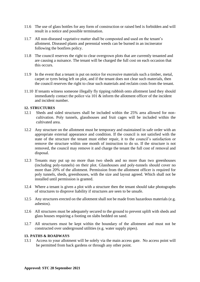- 11.6 The use of glass bottles for any form of construction or raised bed is forbidden and will result in a notice and possible termination.
- 11.7 All non-diseased vegetative matter shall be composted and used on the tenant's allotment. Diseased plants and perennial weeds can be burned in an incinerator following the bonfires policy.
- 11.8 The council reserves the right to clear overgrown plots that are currently tenanted and are causing a nuisance. The tenant will be charged the full cost on each occasion that this occurs.
- 11.9 In the event that a tenant is put on notice for excessive materials such a timber, metal, carpet or tyres being left on plot, and if the tenant does not clear such materials, then the council reserves the right to clear such materials and reclaim costs from the tenant.
- 11.10 If tenants witness someone illegally fly tipping rubbish onto allotment land they should immediately contact the police via 101 & inform the allotment officer of the incident and incident number.

# **12. STRUCTURES**

- 12.1 Sheds and sided structures shall be included within the 25% area allowed for noncultivation. Poly tunnels, glasshouses and fruit cages will be included within the cultivated area.
- 12.2 Any structure on the allotment must be temporary and maintained in safe order with an appropriate external appearance and condition. If the council is not satisfied with the state of the structure the tenant must either repair, it to the council's satisfaction or remove the structure within one month of instruction to do so. If the structure is not removed, the council may remove it and charge the tenant the full cost of removal and disposal.
- 12.3 Tenants may put up no more than two sheds and no more than two greenhouses (including poly-tunnels) on their plot. Glasshouses and poly-tunnels should cover no more than 20% of the allotment. Permission from the allotment officer is required for poly tunnels, sheds, greenhouses, with the size and layout agreed. Which shall not be installed until permission is granted.
- 12.4 Where a tenant is given a plot with a structure then the tenant should take photographs of structures to disprove liability if structures are seen to be unsafe.
- 12.5 Any structures erected on the allotment shall not be made from hazardous materials (e.g. asbestos).
- 12.6 All structures must be adequately secured to the ground to prevent uplift with sheds and glass houses requiring a footing on slabs bedded on sand.
- 12.7 All structures must be kept within the boundary of the allotment and must not be constructed over underground utilities (e.g. water supply pipes).

#### **13. PATHS & ROADWAYS**

13.1 Access to your allotment will be solely via the main access gate. No access point will be permitted from back gardens or through any other point.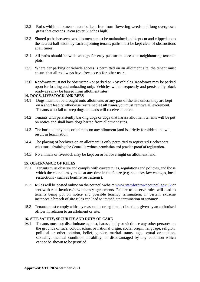- 13.2 Paths within allotments must be kept free from flowering weeds and long overgrown grass that exceeds 15cm (over 6 inches high).
- 13.3 Shared paths between two allotments must be maintained and kept cut and clipped up to the nearest half width by each adjoining tenant; paths must be kept clear of obstructions at all times.
- 13.4 All paths should be wide enough for easy pedestrian access to neighbouring tenants' plots.
- 13.5 Where car parking or vehicle access is permitted on an allotment site, the tenant must ensure that all roadways have free access for other users.
- 13.6 Roadways must not be obstructed or parked on by vehicles. Roadways may be parked upon for loading and unloading only. Vehicles which frequently and persistently block roadways may be barred from allotment sites.

# **14. DOGS, LIVESTOCK AND BEES**

- 14.1 Dogs must not be brought onto allotments or any part of the site unless they are kept on a short lead or otherwise restrained **at all times** you must remove all excrement**.** Tenants who fail to keep dogs on leads will receive a notice.
- 14.2 Tenants with persistently barking dogs or dogs that harass allotment tenants will be put on notice and shall have dogs barred from allotment sites.
- 14.3 The burial of any pets or animals on any allotment land is strictly forbidden and will result in termination.
- 14.4 The placing of beehives on an allotment is only permitted to registered Beekeepers who must obtaining the Council's written permission and provide proof of registration.
- 14.5 No animals or livestock may be kept on or left overnight on allotment land.

# **15. OBSERVANCE OF RULES**

- 15.1 Tenants must observe and comply with current rules, regulations and policies, and those which the council may make at any time in the future (e.g. statutory law changes, local restrictions - such as bonfire restrictions).
- 15.2 Rules will be posted online on the council website [www.stamfordtowncouncil.gov.uk](http://www.stamfordtowncouncil.gov.uk/) or sent with rent invoices/new tenancy agreements. Failure to observe rules will lead to tenants being put on notice and possible tenancy termination. In certain extreme instances a breach of site rules can lead to immediate termination of tenancy.
- 15.3 Tenants must comply with any reasonable or legitimate directions given by an authorised officer in relation to an allotment or site.

# **16. SITE SAFETY, SECURITY AND DUTY OF CARE**

16.1 Tenants must not discriminate against, harass, bully or victimise any other person/s on the grounds of race, colour, ethnic or national origin, social origin, language, religion, political or other opinion, belief, gender, marital status, age, sexual orientation, sexuality, medical condition, disability, or disadvantaged by any condition which cannot be shown to be justified.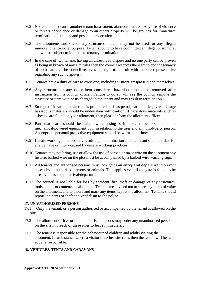- 16.2 No tenant must cause another tenant harassment, alarm or distress. Any use of violence or threats of violence or damage to an others property will be grounds for immediate termination of tenancy and possible prosecution.
- 16.3 The allotments and site or any structures thereon may not be used for any illegal, immoral or anti-social purpose. Tenants found to have committed an illegal or immoral act will be subject to immediate tenancy termination.
- 16.4 In the case of two tenants having an unresolved dispute and no one party can be proven as being in breach of any site rules then the council reserves the right to end the tenancy of both parties. The council reserves the right to consult with the site representative regarding any such disputes.
- 16.5 Tenants have a duty of care to everyone, including visitors, trespassers and themselves.
- 16.6 Any structure or any other item considered hazardous should be removed after instruction from a council officer. Failure to do so will see the council remove the structure or item with costs charged to the tenant and may result in termination.
- 16.7 Storage of hazardous materials is prohibited such as petrol, car batteries, tyres. Usage hazardous materials should be undertaken with caution. If hazardous materials such as asbestos are found on your allotment, then please inform the allotment officer.
- 16.8 Particular care should be taken when using strimmers, rotovators and other mechanical/powered equipment both in relation to the user and any third-party person. Appropriate personal protective equipment should be worn at all times.
- 16.9 Unsafe working practices may result in plot termination and the tenant shall be liable for any damage or injury caused by unsafe working practices.
- 16.10 Tenants may not bring, use or allow the use of barbed or razor wire on the allotment any historic barbed wire on the plot must be accompanied by a barbed wire warning sign.
- 16.11 All tenants and authorised persons must lock gates **on entry and departure** to prevent access by unauthorised persons or animals. This applies even if the gate is found to be already unlocked on arrival/departure.
- 16.12 The council is not liable for loss by accident, fire, theft or damage of any structures, tools, plants or contents on allotment. Tenants are advised not to store any items of value on the allotment, and to insure and mark any items kept at the allotment. Tenants should report incidents of theft and vandalism to the police.

# **17. UNAUTHORIZED PERSONS**

- 17.1 Only the tenant, or a person authorised or accompanied by the tenant is allowed on the site.
- 17.2 The allotment officer or other authorised persons may order any unauthorised person on the site in breach of these rules to leave immediately.
- 17.3 The tenant is responsible for the behaviour of children and adults visiting the allotment. In an instance where a visitor breaches site rules then the tenant will be held equally responsible.

# **18. VEHICLES, TENTS AND CARAVANS**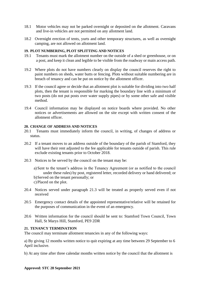- 18.1 Motor vehicles may not be parked overnight or deposited on the allotment. Caravans and live-in vehicles are not permitted on any allotment land.
- 18.2 Overnight erection of tents, yurts and other temporary structures, as well as overnight camping, are not allowed on allotment land.

# **19. PLOT NUMBERING, PLOT SPLITTING AND NOTICES**

- 19.1 Tenants must mark the allotment number on the outside of a shed or greenhouse, or on a post, and keep it clean and legible to be visible from the roadway or main access path.
- 19.2 Where plots do not have numbers clearly on display the council reserves the right to paint numbers on sheds, water butts or fencing. Plots without suitable numbering are in breach of tenancy and can be put on notice by the allotment officer.
- 19.3 If the council agree or decide that an allotment plot is suitable for dividing into two half plots, then the tenant is responsible for marking the boundary line with a minimum of two posts (do not put posts over water supply pipes) or by some other safe and visible method.
- 19.4 Council information may be displayed on notice boards where provided. No other notices or advertisements are allowed on the site except with written consent of the allotment officer.

# **20. CHANGE OF ADDRESS AND NOTICES**

- 20.1 Tenants must immediately inform the council, in writing, of changes of address or status.
- 20.2 If a tenant moves to an address outside of the boundary of the parish of Stamford, they will have their rent adjusted to the fee applicable for tenants outside of parish. This rule exclude existing tenants prior to October 2018.
- 20.3 Notices to be served by the council on the tenant may be:
	- a) Sent to the tenant's address in the Tenancy Agreement (or as notified to the council under these rules) by post, registered letter, recorded delivery or hand delivered; or
	- b)Served on the tenant personally; or
	- c) Placed on the plot.
- 20.4 Notices served under paragraph 21.3 will be treated as properly served even if not received
- 20.5 Emergency contact details of the appointed representative/relative will be retained for the purposes of communication in the event of an emergency.
- 20.6 Written information for the council should be sent to: Stamford Town Council, Town Hall, St Marys Hill, Stamford, PE9 2DR

# **21. TENANCY TERMINATION**

The council may terminate allotment tenancies in any of the following ways:

a) By giving 12 months written notice to quit expiring at any time between 29 September to 6 April inclusive.

b) At any time after three calendar months written notice by the council that the allotment is